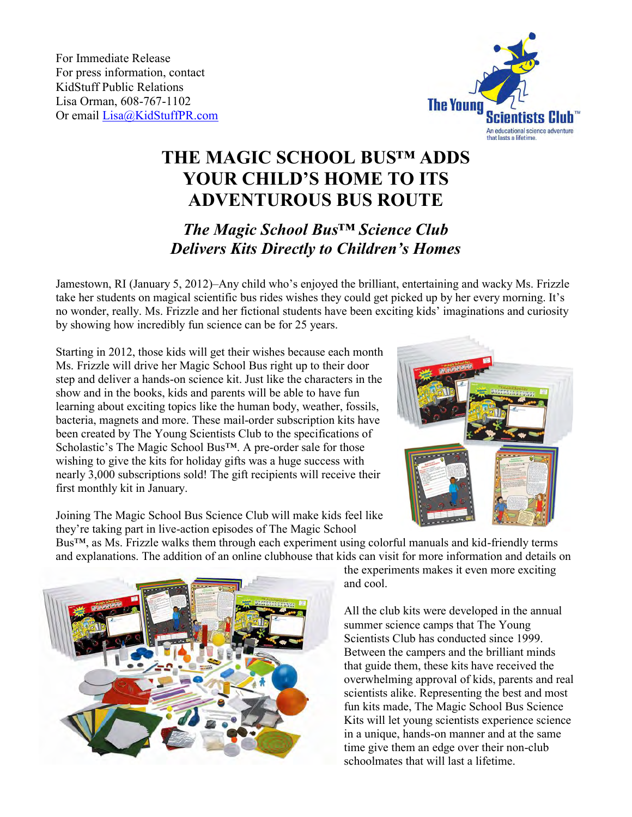For Immediate Release For press information, contact KidStuff Public Relations Lisa Orman, 608-767-1102 Or email [Lisa@KidStuffPR.com](mailto:Lisa@KidStuffPR.com)



## **THE MAGIC SCHOOL BUS™ ADDS YOUR CHILD'S HOME TO ITS ADVENTUROUS BUS ROUTE**

## *The Magic School Bus™ Science Club Delivers Kits Directly to Children's Homes*

Jamestown, RI (January 5, 2012)–Any child who's enjoyed the brilliant, entertaining and wacky Ms. Frizzle take her students on magical scientific bus rides wishes they could get picked up by her every morning. It's no wonder, really. Ms. Frizzle and her fictional students have been exciting kids' imaginations and curiosity by showing how incredibly fun science can be for 25 years.

Starting in 2012, those kids will get their wishes because each month Ms. Frizzle will drive her Magic School Bus right up to their door step and deliver a hands-on science kit. Just like the characters in the show and in the books, kids and parents will be able to have fun learning about exciting topics like the human body, weather, fossils, bacteria, magnets and more. These mail-order subscription kits have been created by The Young Scientists Club to the specifications of Scholastic's The Magic School Bus™. A pre-order sale for those wishing to give the kits for holiday gifts was a huge success with nearly 3,000 subscriptions sold! The gift recipients will receive their first monthly kit in January.

Joining The Magic School Bus Science Club will make kids feel like they're taking part in live-action episodes of The Magic School

Bus™, as Ms. Frizzle walks them through each experiment using colorful manuals and kid-friendly terms and explanations. The addition of an online clubhouse that kids can visit for more information and details on



the experiments makes it even more exciting and cool.

All the club kits were developed in the annual summer science camps that The Young Scientists Club has conducted since 1999. Between the campers and the brilliant minds that guide them, these kits have received the overwhelming approval of kids, parents and real scientists alike. Representing the best and most fun kits made, The Magic School Bus Science Kits will let young scientists experience science in a unique, hands-on manner and at the same time give them an edge over their non-club schoolmates that will last a lifetime.